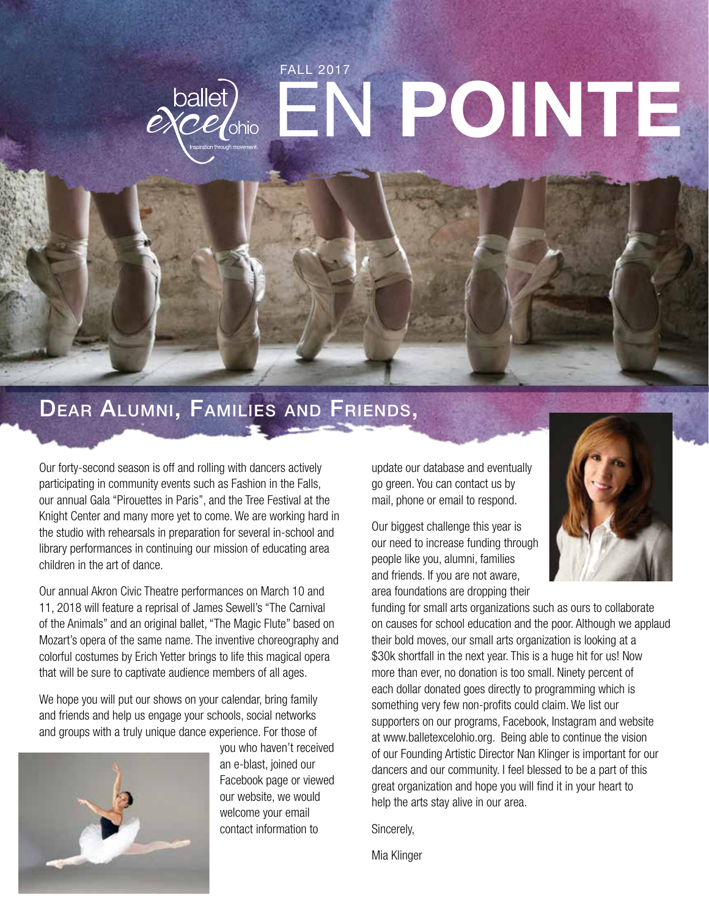# FALL 2017 EN POINTE ballet)<br>eXCelohio

## Dear Alumni, Families and Friends,

Our forty-second season is off and rolling with dancers actively participating in community events such as Fashion in the Falls, our annual Gala "Pirouettes in Paris", and the Tree Festival at the Knight Center and many more yet to come. We are working hard in the studio with rehearsals in preparation for several in-school and library performances in continuing our mission of educating area children in the art of dance.

Our annual Akron Civic Theatre performances on March 10 and 11, 2018 will feature a reprisal of James Sewell's "The Carnival of the Animals" and an original ballet, "The Magic Flute" based on Mozart's opera of the same name. The inventive choreography and colorful costumes by Erich Yetter brings to life this magical opera that will be sure to captivate audience members of all ages.

We hope you will put our shows on your calendar, bring family and friends and help us engage your schools, social networks and groups with a truly unique dance experience. For those of



you who haven't received an e-blast, joined our Facebook page or viewed our website, we would welcome your email contact information to

update our database and eventually go green. You can contact us by mail, phone or email to respond.

Our biggest challenge this year is our need to increase funding through people like you, alumni, families and friends. If you are not aware, area foundations are dropping their



funding for small arts organizations such as ours to collaborate on causes for school education and the poor. Although we applaud their bold moves, our small arts organization is looking at a \$30k shortfall in the next year. This is a huge hit for us! Now more than ever, no donation is too small. Ninety percent of each dollar donated goes directly to programming which is something very few non-profits could claim. We list our supporters on our programs, Facebook, Instagram and website at www.balletexcelohio.org. Being able to continue the vision of our Founding Artistic Director Nan Klinger is important for our dancers and our community. I feel blessed to be a part of this great organization and hope you will find it in your heart to help the arts stay alive in our area.

Sincerely,

Mia Klinger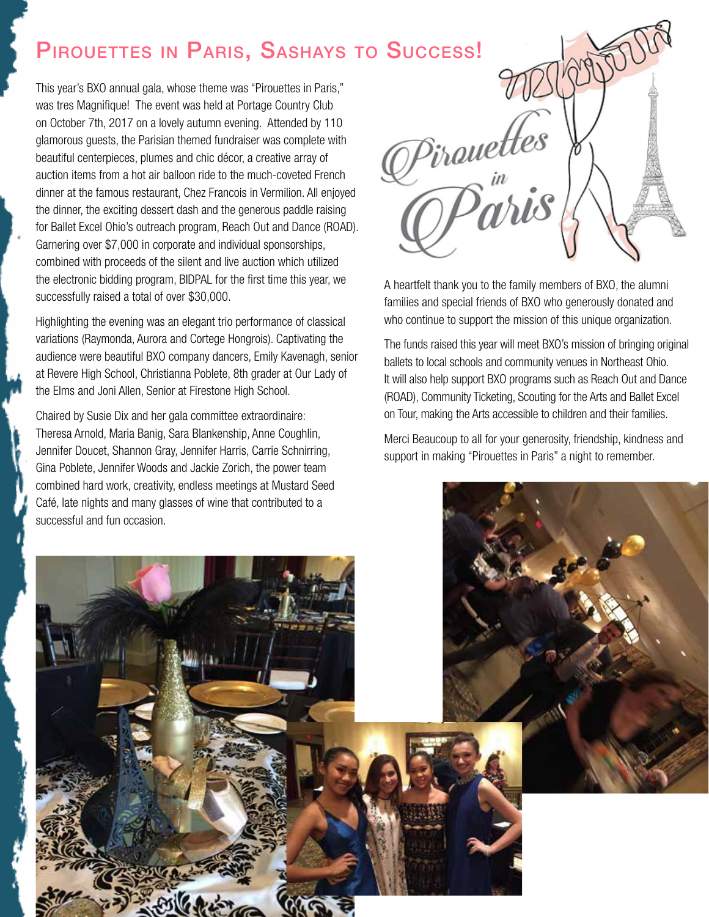## PIROUETTES IN PARIS, SASHAYS TO SUCCESS!

This year's BXO annual gala, whose theme was "Pirouettes in Paris," was tres Magnifique! The event was held at Portage Country Club on October 7th, 2017 on a lovely autumn evening. Attended by 110 glamorous guests, the Parisian themed fundraiser was complete with beautiful centerpieces, plumes and chic décor, a creative array of auction items from a hot air balloon ride to the much-coveted French dinner at the famous restaurant, Chez Francois in Vermilion. All enjoyed the dinner, the exciting dessert dash and the generous paddle raising for Ballet Excel Ohio's outreach program, Reach Out and Dance (ROAD). Garnering over \$7,000 in corporate and individual sponsorships, combined with proceeds of the silent and live auction which utilized the electronic bidding program, BIDPAL for the first time this year, we successfully raised a total of over \$30,000.

Highlighting the evening was an elegant trio performance of classical variations (Raymonda, Aurora and Cortege Hongrois). Captivating the audience were beautiful BXO company dancers, Emily Kavenagh, senior at Revere High School, Christianna Poblete, 8th grader at Our Lady of the Elms and Joni Allen, Senior at Firestone High School.

Chaired by Susie Dix and her gala committee extraordinaire: Theresa Arnold, Maria Banig, Sara Blankenship, Anne Coughlin, Jennifer Doucet, Shannon Gray, Jennifer Harris, Carrie Schnirring, Gina Poblete, Jennifer Woods and Jackie Zorich, the power team combined hard work, creativity, endless meetings at Mustard Seed

Pirauettes "<br>"hiS

A heartfelt thank you to the family members of BXO, the alumni families and special friends of BXO who generously donated and who continue to support the mission of this unique organization.

The funds raised this year will meet BXO's mission of bringing original ballets to local schools and community venues in Northeast Ohio. It will also help support BXO programs such as Reach Out and Dance (ROAD), Community Ticketing, Scouting for the Arts and Ballet Excel on Tour, making the Arts accessible to children and their families.

Merci Beaucoup to all for your generosity, friendship, kindness and support in making "Pirouettes in Paris" a night to remember.

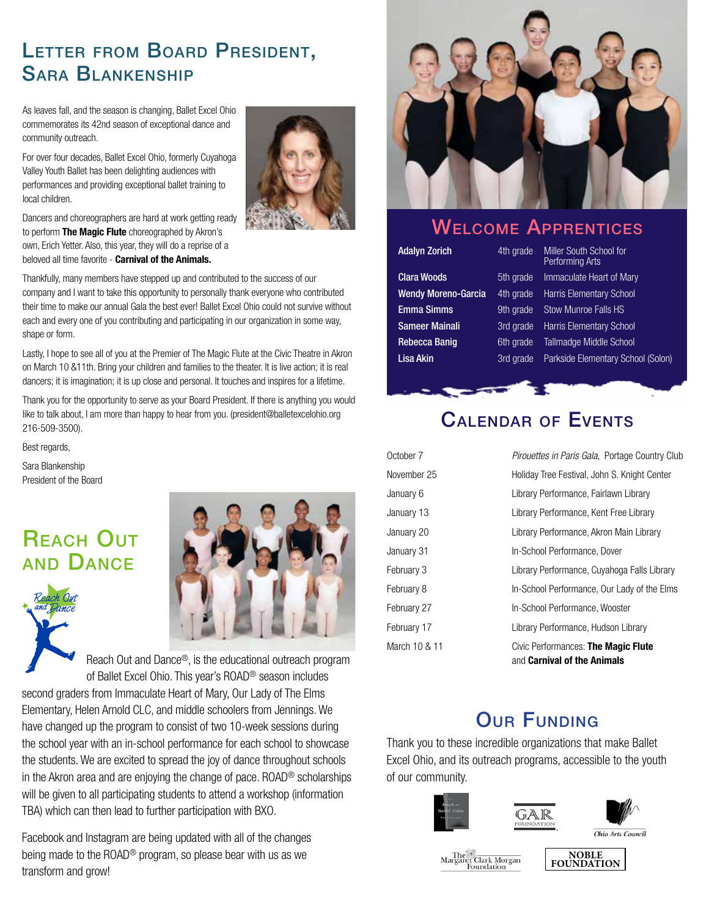## Letter from Board President, Sara Blankenship

As leaves fall, and the season is changing, Ballet Excel Ohio commemorates its 42nd season of exceptional dance and community outreach.

For over four decades, Ballet Excel Ohio, formerly Cuyahoga Valley Youth Ballet has been delighting audiences with performances and providing exceptional ballet training to local children.



Dancers and choreographers are hard at work getting ready to perform The Magic Flute choreographed by Akron's own, Erich Yetter. Also, this year, they will do a reprise of a beloved all time favorite - Carnival of the Animals.

Thankfully, many members have stepped up and contributed to the success of our company and I want to take this opportunity to personally thank everyone who contributed their time to make our annual Gala the best ever! Ballet Excel Ohio could not survive without each and every one of you contributing and participating in our organization in some way, shape or form.

Lastly, I hope to see all of you at the Premier of The Magic Flute at the Civic Theatre in Akron on March 10 &11th. Bring your children and families to the theater. It is live action; it is real dancers; it is imagination; it is up close and personal. It touches and inspires for a lifetime.

Thank you for the opportunity to serve as your Board President. If there is anything you would like to talk about, I am more than happy to hear from you. (president@balletexcelohio.org 216-509-3500).

Best regards,

Sara Blankenship President of the Board

## **REACH OUT** and Dance





Reach Out and Dance®, is the educational outreach program of Ballet Excel Ohio. This year's ROAD® season includes second graders from Immaculate Heart of Mary, Our Lady of The Elms Elementary, Helen Arnold CLC, and middle schoolers from Jennings. We have changed up the program to consist of two 10-week sessions during the school year with an in-school performance for each school to showcase the students. We are excited to spread the joy of dance throughout schools in the Akron area and are enjoying the change of pace. ROAD® scholarships will be given to all participating students to attend a workshop (information TBA) which can then lead to further participation with BXO.

Facebook and Instagram are being updated with all of the changes being made to the ROAD® program, so please bear with us as we transform and grow!



### Welcome Apprentices

Adalyn Zorich 4th grade Miller South School for Performing Arts **Clara Woods** 5th grade Immaculate Heart of Mary Wendy Moreno-Garcia 4th grade Harris Elementary School **Emma Simms** 9th grade Stow Munroe Falls HS Sameer Mainali 3rd grade Harris Elementary School Rebecca Banig 6th grade Tallmadge Middle School Lisa Akin 3rd grade Parkside Elementary School (Solon)

## Calendar of Events

| October 7     | <i>Pirouettes in Paris Gala, Portage Country Club</i>              |
|---------------|--------------------------------------------------------------------|
| November 25   | Holiday Tree Festival, John S. Knight Center                       |
| January 6     | Library Performance, Fairlawn Library                              |
| January 13    | Library Performance, Kent Free Library                             |
| January 20    | Library Performance, Akron Main Library                            |
| January 31    | In-School Performance, Dover                                       |
| February 3    | Library Performance, Cuyahoga Falls Library                        |
| February 8    | In-School Performance, Our Lady of the Elms                        |
| February 27   | In-School Performance, Wooster                                     |
| February 17   | Library Performance, Hudson Library                                |
| March 10 & 11 | Civic Performances: The Magic Flute<br>and Carnival of the Animals |

## **OUR FUNDING**

Thank you to these incredible organizations that make Ballet Excel Ohio, and its outreach programs, accessible to the youth of our community.





The<br>Margaret Clark Morgan Foundatio

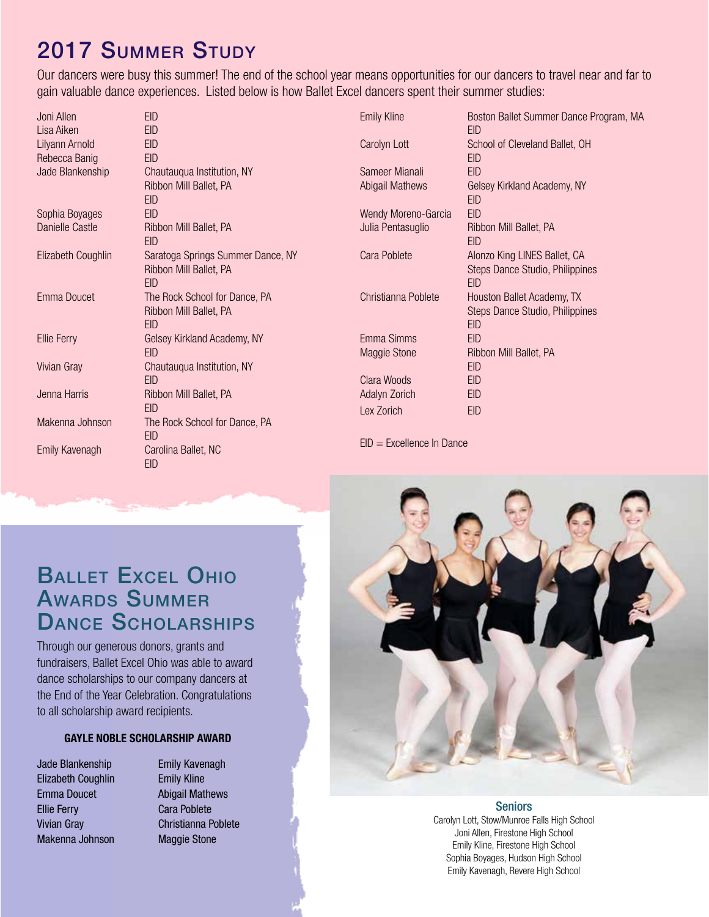## 2017 Summer Study

Our dancers were busy this summer! The end of the school year means opportunities for our dancers to travel near and far to gain valuable dance experiences. Listed below is how Ballet Excel dancers spent their summer studies:

| Joni Allen            | <b>FID</b>                        |
|-----------------------|-----------------------------------|
| Lisa Aiken            | <b>EID</b>                        |
| Lilyann Arnold        | <b>EID</b>                        |
| Rebecca Banig         | <b>EID</b>                        |
| Jade Blankenship      | Chautauqua Institution, NY        |
|                       | Ribbon Mill Ballet, PA            |
|                       | EID                               |
| Sophia Boyages        | <b>EID</b>                        |
| Danielle Castle       | Ribbon Mill Ballet, PA            |
|                       | <b>FID</b>                        |
| Elizabeth Coughlin    | Saratoga Springs Summer Dance, NY |
|                       | Ribbon Mill Ballet, PA            |
|                       | <b>FID</b>                        |
| Emma Doucet           | The Rock School for Dance, PA     |
|                       | Ribbon Mill Ballet, PA            |
|                       | <b>FID</b>                        |
| Ellie Ferry           | Gelsey Kirkland Academy, NY       |
|                       | <b>EID</b>                        |
| Vivian Gray           | Chautauqua Institution, NY        |
|                       | <b>EID</b>                        |
| Jenna Harris          | Ribbon Mill Ballet, PA            |
|                       | EID                               |
| Makenna Johnson       | The Rock School for Dance, PA     |
|                       | <b>EID</b>                        |
| <b>Emily Kavenagh</b> | Carolina Ballet, NC               |
|                       | <b>EID</b>                        |

| <b>Emily Kline</b>  | Boston Ballet Summer Dance Program, MA<br>EID                                 |
|---------------------|-------------------------------------------------------------------------------|
| Carolyn Lott        | School of Cleveland Ballet, OH<br><b>EID</b>                                  |
| Sameer Mianali      | EID                                                                           |
| Abigail Mathews     | Gelsey Kirkland Academy, NY<br>EID                                            |
| Wendy Moreno-Garcia | EID                                                                           |
| Julia Pentasuglio   | Ribbon Mill Ballet, PA<br>EID                                                 |
| Cara Poblete        | Alonzo King LINES Ballet, CA<br>Steps Dance Studio, Philippines<br><b>EID</b> |
| Christianna Poblete | Houston Ballet Academy, TX<br>Steps Dance Studio, Philippines<br><b>EID</b>   |
| Emma Simms          | <b>EID</b>                                                                    |
| Maggie Stone        | Ribbon Mill Ballet, PA<br><b>EID</b>                                          |
| Clara Woods         | EID                                                                           |
| Adalyn Zorich       | EID                                                                           |
| Lex Zorich          | EID                                                                           |

EID = Excellence In Dance

## Ballet Excel Ohio Awards Summer DANCE SCHOLARSHIPS

Through our generous donors, grants and fundraisers, Ballet Excel Ohio was able to award dance scholarships to our company dancers at the End of the Year Celebration. Congratulations to all scholarship award recipients.

### GAYLE NOBLE SCHOLARSHIP AWARD

- Jade Blankenship Elizabeth Coughlin Emma Doucet Ellie Ferry Vivian Gray Makenna Johnson
- Emily Kavenagh Emily Kline Abigail Mathews Cara Poblete Christianna Poblete Maggie Stone



#### **Seniors**

Carolyn Lott, Stow/Munroe Falls High School Joni Allen, Firestone High School Emily Kline, Firestone High School Sophia Boyages, Hudson High School Emily Kavenagh, Revere High School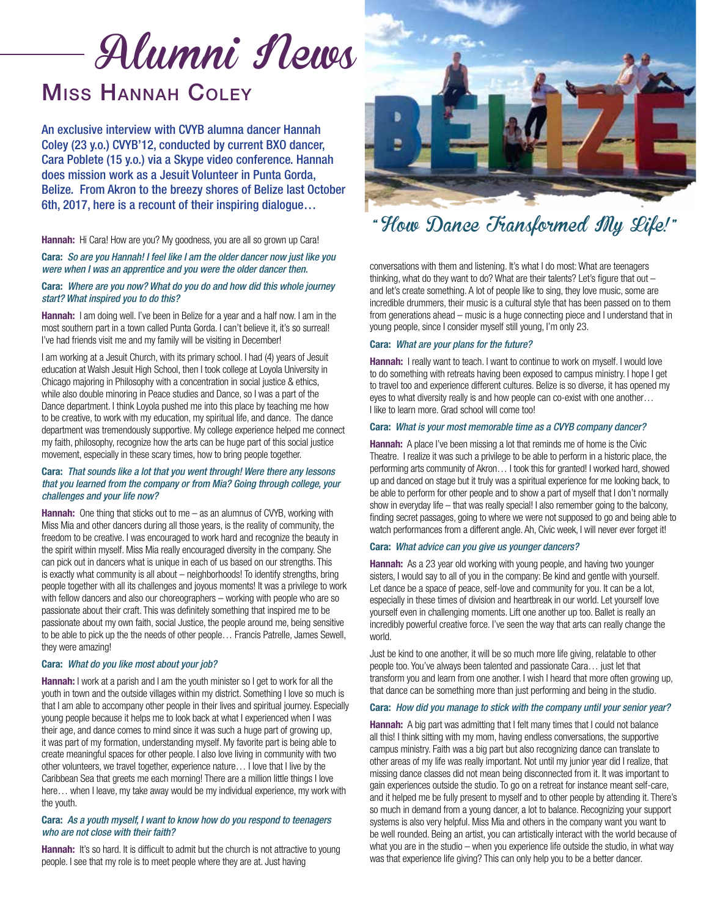# Alumni News

# Miss Hannah Coley

An exclusive interview with CVYB alumna dancer Hannah Coley (23 y.o.) CVYB'12, conducted by current BXO dancer, Cara Poblete (15 y.o.) via a Skype video conference. Hannah does mission work as a Jesuit Volunteer in Punta Gorda, Belize. From Akron to the breezy shores of Belize last October 6th, 2017, here is a recount of their inspiring dialogue…

Hannah: Hi Cara! How are you? My goodness, you are all so grown up Cara!

Cara: *So are you Hannah! I feel like I am the older dancer now just like you were when I was an apprentice and you were the older dancer then.*

### Cara: *Where are you now? What do you do and how did this whole journey start? What inspired you to do this?*

Hannah: I am doing well. I've been in Belize for a year and a half now. I am in the most southern part in a town called Punta Gorda. I can't believe it, it's so surreal! I've had friends visit me and my family will be visiting in December!

I am working at a Jesuit Church, with its primary school. I had (4) years of Jesuit education at Walsh Jesuit High School, then I took college at Loyola University in Chicago majoring in Philosophy with a concentration in social justice & ethics, while also double minoring in Peace studies and Dance, so I was a part of the Dance department. I think Loyola pushed me into this place by teaching me how to be creative, to work with my education, my spiritual life, and dance. The dance department was tremendously supportive. My college experience helped me connect my faith, philosophy, recognize how the arts can be huge part of this social justice movement, especially in these scary times, how to bring people together.

### Cara: *That sounds like a lot that you went through! Were there any lessons that you learned from the company or from Mia? Going through college, your challenges and your life now?*

**Hannah:** One thing that sticks out to me  $-$  as an alumnus of CVYB, working with Miss Mia and other dancers during all those years, is the reality of community, the freedom to be creative. I was encouraged to work hard and recognize the beauty in the spirit within myself. Miss Mia really encouraged diversity in the company. She can pick out in dancers what is unique in each of us based on our strengths. This is exactly what community is all about – neighborhoods! To identify strengths, bring people together with all its challenges and joyous moments! It was a privilege to work with fellow dancers and also our choreographers – working with people who are so passionate about their craft. This was definitely something that inspired me to be passionate about my own faith, social Justice, the people around me, being sensitive to be able to pick up the the needs of other people… Francis Patrelle, James Sewell, they were amazing!

### Cara: *What do you like most about your job?*

Hannah: I work at a parish and I am the youth minister so I get to work for all the youth in town and the outside villages within my district. Something I love so much is that I am able to accompany other people in their lives and spiritual journey. Especially young people because it helps me to look back at what I experienced when I was their age, and dance comes to mind since it was such a huge part of growing up, it was part of my formation, understanding myself. My favorite part is being able to create meaningful spaces for other people. I also love living in community with two other volunteers, we travel together, experience nature… I love that I live by the Caribbean Sea that greets me each morning! There are a million little things I love here… when I leave, my take away would be my individual experience, my work with the youth.

### Cara: *As a youth myself, I want to know how do you respond to teenagers who are not close with their faith?*

**Hannah:** It's so hard. It is difficult to admit but the church is not attractive to young people. I see that my role is to meet people where they are at. Just having



## " How Dance Transformed My Life! "

conversations with them and listening. It's what I do most: What are teenagers thinking, what do they want to do? What are their talents? Let's figure that out  $$ and let's create something. A lot of people like to sing, they love music, some are incredible drummers, their music is a cultural style that has been passed on to them from generations ahead – music is a huge connecting piece and I understand that in young people, since I consider myself still young, I'm only 23.

### Cara: *What are your plans for the future?*

**Hannah:** I really want to teach. I want to continue to work on myself. I would love to do something with retreats having been exposed to campus ministry. I hope I get to travel too and experience different cultures. Belize is so diverse, it has opened my eyes to what diversity really is and how people can co-exist with one another… I like to learn more. Grad school will come too!

### Cara: *What is your most memorable time as a CVYB company dancer?*

Hannah: A place I've been missing a lot that reminds me of home is the Civic Theatre. I realize it was such a privilege to be able to perform in a historic place, the performing arts community of Akron… I took this for granted! I worked hard, showed up and danced on stage but it truly was a spiritual experience for me looking back, to be able to perform for other people and to show a part of myself that I don't normally show in everyday life – that was really special! I also remember going to the balcony, finding secret passages, going to where we were not supposed to go and being able to watch performances from a different angle. Ah, Civic week, I will never ever forget it!

### Cara: *What advice can you give us younger dancers?*

**Hannah:** As a 23 year old working with young people, and having two younger sisters, I would say to all of you in the company: Be kind and gentle with yourself. Let dance be a space of peace, self-love and community for you. It can be a lot, especially in these times of division and heartbreak in our world. Let yourself love yourself even in challenging moments. Lift one another up too. Ballet is really an incredibly powerful creative force. I've seen the way that arts can really change the world.

Just be kind to one another, it will be so much more life giving, relatable to other people too. You've always been talented and passionate Cara… just let that transform you and learn from one another. I wish I heard that more often growing up, that dance can be something more than just performing and being in the studio.

### Cara: *How did you manage to stick with the company until your senior year?*

**Hannah:** A big part was admitting that I felt many times that I could not balance all this! I think sitting with my mom, having endless conversations, the supportive campus ministry. Faith was a big part but also recognizing dance can translate to other areas of my life was really important. Not until my junior year did I realize, that missing dance classes did not mean being disconnected from it. It was important to gain experiences outside the studio. To go on a retreat for instance meant self-care, and it helped me be fully present to myself and to other people by attending it. There's so much in demand from a young dancer, a lot to balance. Recognizing your support systems is also very helpful. Miss Mia and others in the company want you want to be well rounded. Being an artist, you can artistically interact with the world because of what you are in the studio – when you experience life outside the studio, in what way was that experience life giving? This can only help you to be a better dancer.